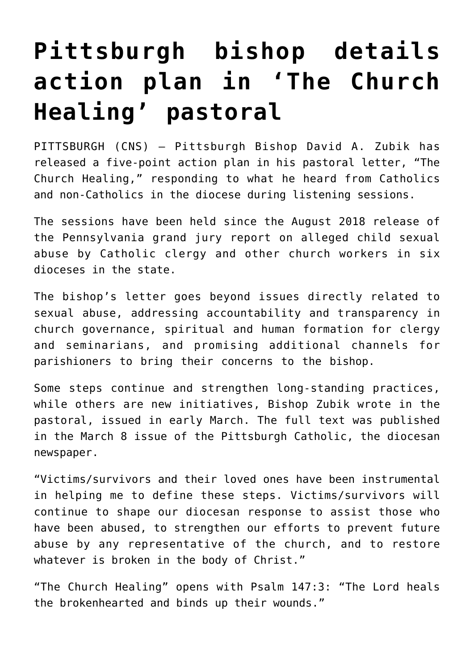## **[Pittsburgh bishop details](https://www.osvnews.com/2019/03/12/pittsburgh-bishop-details-action-plan-in-the-church-healing-pastoral/) [action plan in 'The Church](https://www.osvnews.com/2019/03/12/pittsburgh-bishop-details-action-plan-in-the-church-healing-pastoral/) [Healing' pastoral](https://www.osvnews.com/2019/03/12/pittsburgh-bishop-details-action-plan-in-the-church-healing-pastoral/)**

PITTSBURGH (CNS) — Pittsburgh Bishop David A. Zubik has released a five-point action plan in his pastoral letter, "The Church Healing," responding to what he heard from Catholics and non-Catholics in the diocese during listening sessions.

The sessions have been held since the August 2018 release of the Pennsylvania grand jury report on alleged child sexual abuse by Catholic clergy and other church workers in six dioceses in the state.

The bishop's letter goes beyond issues directly related to sexual abuse, addressing accountability and transparency in church governance, spiritual and human formation for clergy and seminarians, and promising additional channels for parishioners to bring their concerns to the bishop.

Some steps continue and strengthen long-standing practices, while others are new initiatives, Bishop Zubik wrote in the pastoral, issued in early March. The full text was published in the March 8 issue of the Pittsburgh Catholic, the diocesan newspaper.

"Victims/survivors and their loved ones have been instrumental in helping me to define these steps. Victims/survivors will continue to shape our diocesan response to assist those who have been abused, to strengthen our efforts to prevent future abuse by any representative of the church, and to restore whatever is broken in the body of Christ."

"The Church Healing" opens with Psalm 147:3: "The Lord heals the brokenhearted and binds up their wounds."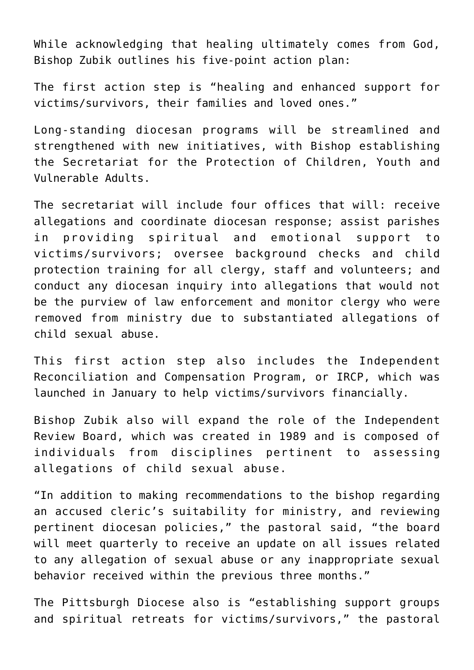While acknowledging that healing ultimately comes from God, Bishop Zubik outlines his five-point action plan:

The first action step is "healing and enhanced support for victims/survivors, their families and loved ones."

Long-standing diocesan programs will be streamlined and strengthened with new initiatives, with Bishop establishing the Secretariat for the Protection of Children, Youth and Vulnerable Adults.

The secretariat will include four offices that will: receive allegations and coordinate diocesan response; assist parishes in providing spiritual and emotional support to victims/survivors; oversee background checks and child protection training for all clergy, staff and volunteers; and conduct any diocesan inquiry into allegations that would not be the purview of law enforcement and monitor clergy who were removed from ministry due to substantiated allegations of child sexual abuse.

This first action step also includes the Independent Reconciliation and Compensation Program, or IRCP, which was launched in January to help victims/survivors financially.

Bishop Zubik also will expand the role of the Independent Review Board, which was created in 1989 and is composed of individuals from disciplines pertinent to assessing allegations of child sexual abuse.

"In addition to making recommendations to the bishop regarding an accused cleric's suitability for ministry, and reviewing pertinent diocesan policies," the pastoral said, "the board will meet quarterly to receive an update on all issues related to any allegation of sexual abuse or any inappropriate sexual behavior received within the previous three months."

The Pittsburgh Diocese also is "establishing support groups and spiritual retreats for victims/survivors," the pastoral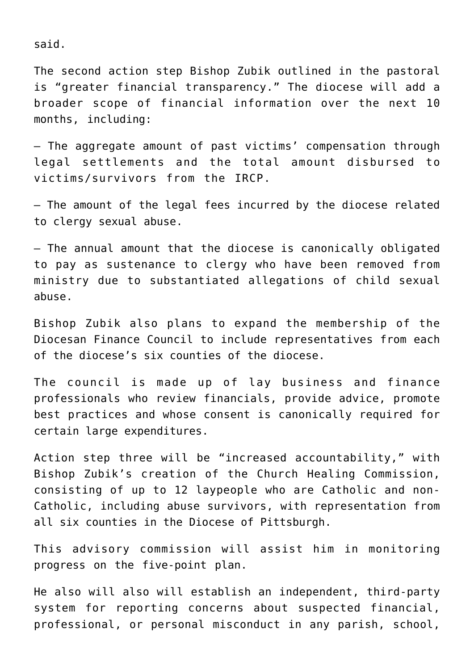said.

The second action step Bishop Zubik outlined in the pastoral is "greater financial transparency." The diocese will add a broader scope of financial information over the next 10 months, including:

— The aggregate amount of past victims' compensation through legal settlements and the total amount disbursed to victims/survivors from the IRCP.

— The amount of the legal fees incurred by the diocese related to clergy sexual abuse.

— The annual amount that the diocese is canonically obligated to pay as sustenance to clergy who have been removed from ministry due to substantiated allegations of child sexual abuse.

Bishop Zubik also plans to expand the membership of the Diocesan Finance Council to include representatives from each of the diocese's six counties of the diocese.

The council is made up of lay business and finance professionals who review financials, provide advice, promote best practices and whose consent is canonically required for certain large expenditures.

Action step three will be "increased accountability," with Bishop Zubik's creation of the Church Healing Commission, consisting of up to 12 laypeople who are Catholic and non-Catholic, including abuse survivors, with representation from all six counties in the Diocese of Pittsburgh.

This advisory commission will assist him in monitoring progress on the five-point plan.

He also will also will establish an independent, third-party system for reporting concerns about suspected financial, professional, or personal misconduct in any parish, school,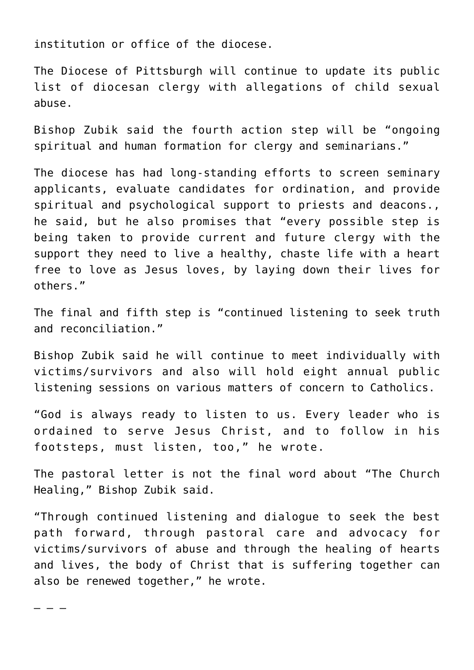institution or office of the diocese.

The Diocese of Pittsburgh will continue to update its public list of diocesan clergy with allegations of child sexual abuse.

Bishop Zubik said the fourth action step will be "ongoing spiritual and human formation for clergy and seminarians."

The diocese has had long-standing efforts to screen seminary applicants, evaluate candidates for ordination, and provide spiritual and psychological support to priests and deacons., he said, but he also promises that "every possible step is being taken to provide current and future clergy with the support they need to live a healthy, chaste life with a heart free to love as Jesus loves, by laying down their lives for others."

The final and fifth step is "continued listening to seek truth and reconciliation."

Bishop Zubik said he will continue to meet individually with victims/survivors and also will hold eight annual public listening sessions on various matters of concern to Catholics.

"God is always ready to listen to us. Every leader who is ordained to serve Jesus Christ, and to follow in his footsteps, must listen, too," he wrote.

The pastoral letter is not the final word about "The Church Healing," Bishop Zubik said.

"Through continued listening and dialogue to seek the best path forward, through pastoral care and advocacy for victims/survivors of abuse and through the healing of hearts and lives, the body of Christ that is suffering together can also be renewed together," he wrote.

– – –